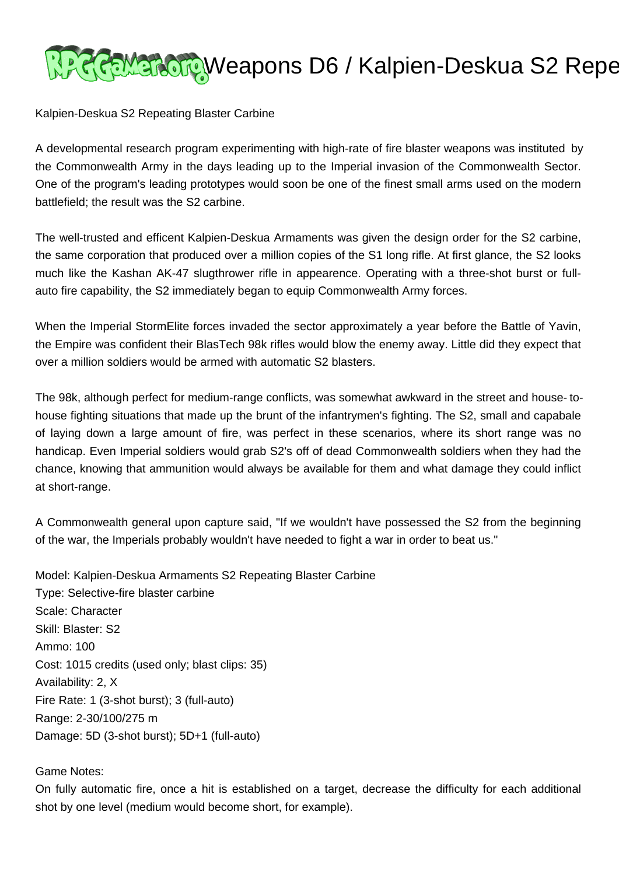

Kalpien-Deskua S2 Repeating Blaster Carbine

A developmental research program experimenting with high-rate of fire blaster weapons was instituted by the Commonwealth Army in the days leading up to the Imperial invasion of the Commonwealth Sector. One of the program's leading prototypes would soon be one of the finest small arms used on the modern battlefield; the result was the S2 carbine.

The well-trusted and efficent Kalpien-Deskua Armaments was given the design order for the S2 carbine, the same corporation that produced over a million copies of the S1 long rifle. At first glance, the S2 looks much like the Kashan AK-47 slugthrower rifle in appearence. Operating with a three-shot burst or fullauto fire capability, the S2 immediately began to equip Commonwealth Army forces.

When the Imperial StormElite forces invaded the sector approximately a year before the Battle of Yavin, the Empire was confident their BlasTech 98k rifles would blow the enemy away. Little did they expect that over a million soldiers would be armed with automatic S2 blasters.

The 98k, although perfect for medium-range conflicts, was somewhat awkward in the street and house- tohouse fighting situations that made up the brunt of the infantrymen's fighting. The S2, small and capabale of laying down a large amount of fire, was perfect in these scenarios, where its short range was no handicap. Even Imperial soldiers would grab S2's off of dead Commonwealth soldiers when they had the chance, knowing that ammunition would always be available for them and what damage they could inflict at short-range.

A Commonwealth general upon capture said, "If we wouldn't have possessed the S2 from the beginning of the war, the Imperials probably wouldn't have needed to fight a war in order to beat us."

Model: Kalpien-Deskua Armaments S2 Repeating Blaster Carbine Type: Selective-fire blaster carbine Scale: Character Skill: Blaster: S2 Ammo: 100 Cost: 1015 credits (used only; blast clips: 35) Availability: 2, X Fire Rate: 1 (3-shot burst); 3 (full-auto) Range: 2-30/100/275 m Damage: 5D (3-shot burst); 5D+1 (full-auto)

## Game Notes:

On fully automatic fire, once a hit is established on a target, decrease the difficulty for each additional shot by one level (medium would become short, for example).